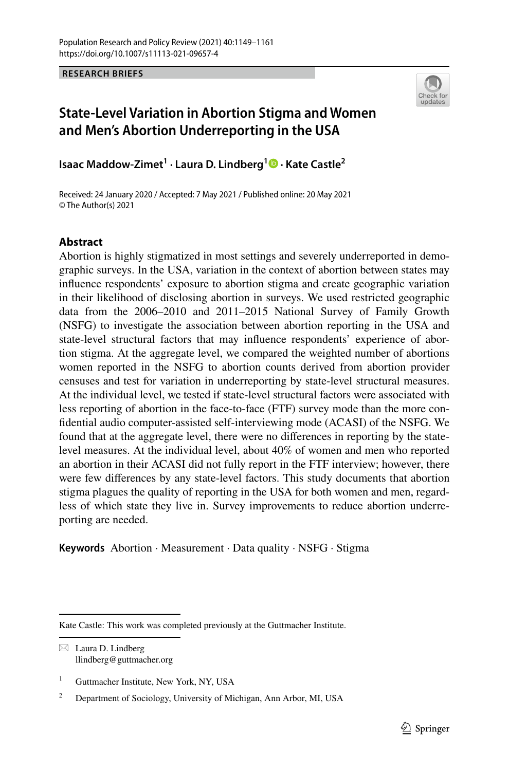**RESEARCH BRIEFS**



# **State‑Level Variation in Abortion Stigma and Women and Men's Abortion Underreporting in the USA**

**Isaac Maddow‑Zimet1 · Laura D. Lindberg1 · Kate Castle2**

Received: 24 January 2020 / Accepted: 7 May 2021 / Published online: 20 May 2021 © The Author(s) 2021

## **Abstract**

Abortion is highly stigmatized in most settings and severely underreported in demographic surveys. In the USA, variation in the context of abortion between states may infuence respondents' exposure to abortion stigma and create geographic variation in their likelihood of disclosing abortion in surveys. We used restricted geographic data from the 2006–2010 and 2011–2015 National Survey of Family Growth (NSFG) to investigate the association between abortion reporting in the USA and state-level structural factors that may infuence respondents' experience of abortion stigma. At the aggregate level, we compared the weighted number of abortions women reported in the NSFG to abortion counts derived from abortion provider censuses and test for variation in underreporting by state-level structural measures. At the individual level, we tested if state-level structural factors were associated with less reporting of abortion in the face-to-face (FTF) survey mode than the more confdential audio computer-assisted self-interviewing mode (ACASI) of the NSFG. We found that at the aggregate level, there were no diferences in reporting by the statelevel measures. At the individual level, about 40% of women and men who reported an abortion in their ACASI did not fully report in the FTF interview; however, there were few diferences by any state-level factors. This study documents that abortion stigma plagues the quality of reporting in the USA for both women and men, regardless of which state they live in. Survey improvements to reduce abortion underreporting are needed.

**Keywords** Abortion · Measurement · Data quality · NSFG · Stigma

 $\boxtimes$  Laura D. Lindberg llindberg@guttmacher.org

Kate Castle: This work was completed previously at the Guttmacher Institute.

<sup>&</sup>lt;sup>1</sup> Guttmacher Institute, New York, NY, USA

<sup>&</sup>lt;sup>2</sup> Department of Sociology, University of Michigan, Ann Arbor, MI, USA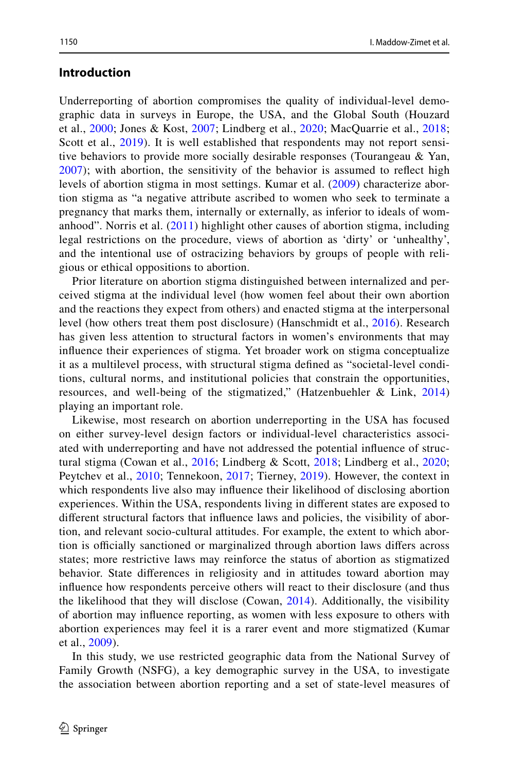### **Introduction**

Underreporting of abortion compromises the quality of individual-level demographic data in surveys in Europe, the USA, and the Global South (Houzard et al., [2000;](#page-11-0) Jones & Kost, [2007](#page-11-1); Lindberg et al., [2020;](#page-12-0) MacQuarrie et al., [2018;](#page-12-1) Scott et al., [2019](#page-12-2)). It is well established that respondents may not report sensitive behaviors to provide more socially desirable responses (Tourangeau & Yan, [2007\)](#page-12-3); with abortion, the sensitivity of the behavior is assumed to refect high levels of abortion stigma in most settings. Kumar et al. ([2009\)](#page-12-4) characterize abortion stigma as "a negative attribute ascribed to women who seek to terminate a pregnancy that marks them, internally or externally, as inferior to ideals of womanhood". Norris et al. [\(2011\)](#page-12-5) highlight other causes of abortion stigma, including legal restrictions on the procedure, views of abortion as 'dirty' or 'unhealthy', and the intentional use of ostracizing behaviors by groups of people with religious or ethical oppositions to abortion.

Prior literature on abortion stigma distinguished between internalized and perceived stigma at the individual level (how women feel about their own abortion and the reactions they expect from others) and enacted stigma at the interpersonal level (how others treat them post disclosure) (Hanschmidt et al., [2016\)](#page-11-2). Research has given less attention to structural factors in women's environments that may infuence their experiences of stigma. Yet broader work on stigma conceptualize it as a multilevel process, with structural stigma defned as "societal-level conditions, cultural norms, and institutional policies that constrain the opportunities, resources, and well-being of the stigmatized," (Hatzenbuehler & Link, [2014](#page-11-3)) playing an important role.

Likewise, most research on abortion underreporting in the USA has focused on either survey-level design factors or individual-level characteristics associated with underreporting and have not addressed the potential infuence of structural stigma (Cowan et al., [2016](#page-11-4); Lindberg & Scott, [2018;](#page-12-6) Lindberg et al., [2020;](#page-12-0) Peytchev et al., [2010](#page-12-7); Tennekoon, [2017](#page-12-8); Tierney, [2019\)](#page-12-9). However, the context in which respondents live also may infuence their likelihood of disclosing abortion experiences. Within the USA, respondents living in diferent states are exposed to diferent structural factors that infuence laws and policies, the visibility of abortion, and relevant socio-cultural attitudes. For example, the extent to which abortion is officially sanctioned or marginalized through abortion laws differs across states; more restrictive laws may reinforce the status of abortion as stigmatized behavior. State diferences in religiosity and in attitudes toward abortion may infuence how respondents perceive others will react to their disclosure (and thus the likelihood that they will disclose (Cowan, [2014](#page-11-5)). Additionally, the visibility of abortion may infuence reporting, as women with less exposure to others with abortion experiences may feel it is a rarer event and more stigmatized (Kumar et al., [2009](#page-12-4)).

In this study, we use restricted geographic data from the National Survey of Family Growth (NSFG), a key demographic survey in the USA, to investigate the association between abortion reporting and a set of state-level measures of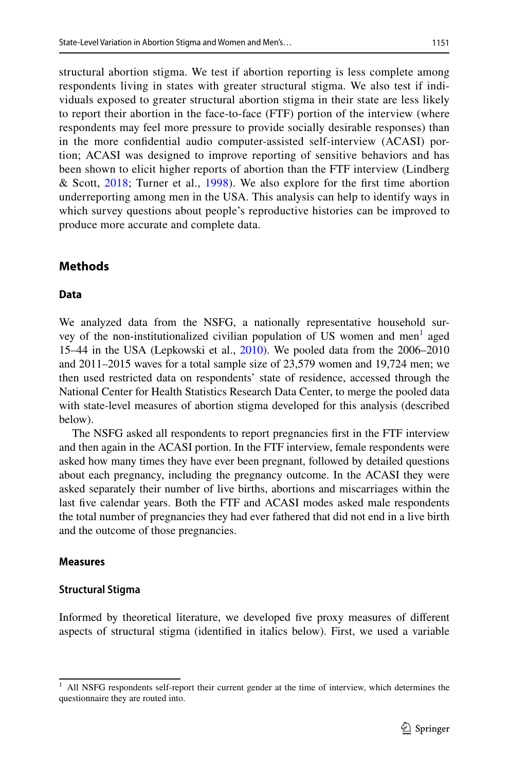structural abortion stigma. We test if abortion reporting is less complete among respondents living in states with greater structural stigma. We also test if individuals exposed to greater structural abortion stigma in their state are less likely to report their abortion in the face-to-face (FTF) portion of the interview (where respondents may feel more pressure to provide socially desirable responses) than in the more confdential audio computer-assisted self-interview (ACASI) portion; ACASI was designed to improve reporting of sensitive behaviors and has been shown to elicit higher reports of abortion than the FTF interview (Lindberg & Scott, [2018;](#page-12-6) Turner et al., [1998\)](#page-12-10). We also explore for the frst time abortion underreporting among men in the USA. This analysis can help to identify ways in which survey questions about people's reproductive histories can be improved to produce more accurate and complete data.

# **Methods**

### **Data**

We analyzed data from the NSFG, a nationally representative household sur-vey of the non-institutionalized civilian population of US women and men<sup>[1](#page-2-0)</sup> aged 15–44 in the USA (Lepkowski et al., [2010](#page-12-11)). We pooled data from the 2006–2010 and 2011–2015 waves for a total sample size of 23,579 women and 19,724 men; we then used restricted data on respondents' state of residence, accessed through the National Center for Health Statistics Research Data Center, to merge the pooled data with state-level measures of abortion stigma developed for this analysis (described below).

The NSFG asked all respondents to report pregnancies frst in the FTF interview and then again in the ACASI portion. In the FTF interview, female respondents were asked how many times they have ever been pregnant, followed by detailed questions about each pregnancy, including the pregnancy outcome. In the ACASI they were asked separately their number of live births, abortions and miscarriages within the last fve calendar years. Both the FTF and ACASI modes asked male respondents the total number of pregnancies they had ever fathered that did not end in a live birth and the outcome of those pregnancies.

### **Measures**

## **Structural Stigma**

Informed by theoretical literature, we developed fve proxy measures of diferent aspects of structural stigma (identifed in italics below). First, we used a variable

<span id="page-2-0"></span><sup>&</sup>lt;sup>1</sup> All NSFG respondents self-report their current gender at the time of interview, which determines the questionnaire they are routed into.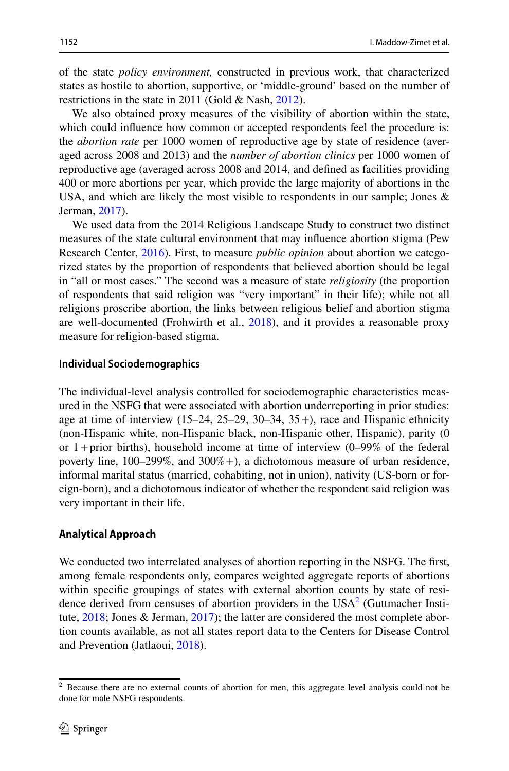of the state *policy environment,* constructed in previous work, that characterized states as hostile to abortion, supportive, or 'middle-ground' based on the number of restrictions in the state in 2011 (Gold & Nash, [2012](#page-11-6)).

We also obtained proxy measures of the visibility of abortion within the state, which could infuence how common or accepted respondents feel the procedure is: the *abortion rate* per 1000 women of reproductive age by state of residence (averaged across 2008 and 2013) and the *number of abortion clinics* per 1000 women of reproductive age (averaged across 2008 and 2014, and defned as facilities providing 400 or more abortions per year, which provide the large majority of abortions in the USA, and which are likely the most visible to respondents in our sample; Jones  $\&$ Jerman, [2017\)](#page-11-7).

We used data from the 2014 Religious Landscape Study to construct two distinct measures of the state cultural environment that may infuence abortion stigma (Pew Research Center, [2016](#page-12-12)). First, to measure *public opinion* about abortion we categorized states by the proportion of respondents that believed abortion should be legal in "all or most cases." The second was a measure of state *religiosity* (the proportion of respondents that said religion was "very important" in their life); while not all religions proscribe abortion, the links between religious belief and abortion stigma are well-documented (Frohwirth et al., [2018\)](#page-11-8), and it provides a reasonable proxy measure for religion-based stigma.

#### **Individual Sociodemographics**

The individual-level analysis controlled for sociodemographic characteristics measured in the NSFG that were associated with abortion underreporting in prior studies: age at time of interview  $(15-24, 25-29, 30-34, 35+)$ , race and Hispanic ethnicity (non-Hispanic white, non-Hispanic black, non-Hispanic other, Hispanic), parity (0 or  $1+$ prior births), household income at time of interview (0–99% of the federal poverty line,  $100-299\%$ , and  $300\%$  +), a dichotomous measure of urban residence, informal marital status (married, cohabiting, not in union), nativity (US-born or foreign-born), and a dichotomous indicator of whether the respondent said religion was very important in their life.

### **Analytical Approach**

We conducted two interrelated analyses of abortion reporting in the NSFG. The frst, among female respondents only, compares weighted aggregate reports of abortions within specifc groupings of states with external abortion counts by state of residence derived from censuses of abortion providers in the  $USA<sup>2</sup>$  $USA<sup>2</sup>$  $USA<sup>2</sup>$  (Guttmacher Institute, [2018](#page-11-9); Jones & Jerman, [2017](#page-11-7)); the latter are considered the most complete abortion counts available, as not all states report data to the Centers for Disease Control and Prevention (Jatlaoui, [2018\)](#page-11-10).

<span id="page-3-0"></span> $2$  Because there are no external counts of abortion for men, this aggregate level analysis could not be done for male NSFG respondents.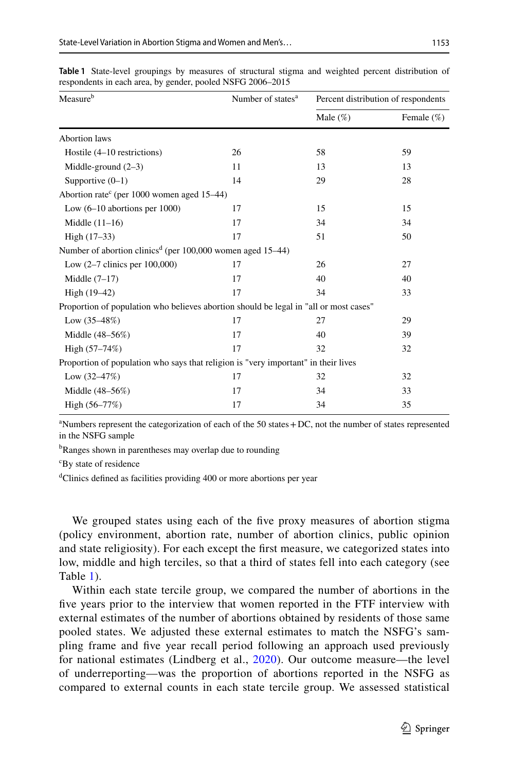| Measure <sup>b</sup>                                                                  | Number of states <sup>a</sup> | Percent distribution of respondents |               |  |
|---------------------------------------------------------------------------------------|-------------------------------|-------------------------------------|---------------|--|
|                                                                                       |                               | Male $(\%)$                         | Female $(\%)$ |  |
| <b>Abortion</b> laws                                                                  |                               |                                     |               |  |
| Hostile (4–10 restrictions)                                                           | 26                            | 58                                  | 59            |  |
| Middle-ground $(2-3)$                                                                 | 11                            | 13                                  | 13            |  |
| Supportive $(0-1)$                                                                    | 14                            | 29                                  | 28            |  |
| Abortion rate <sup>c</sup> (per 1000 women aged 15-44)                                |                               |                                     |               |  |
| Low $(6-10$ abortions per $1000$ )                                                    | 17                            | 15                                  | 15            |  |
| Middle $(11-16)$                                                                      | 17                            | 34                                  | 34            |  |
| High $(17-33)$                                                                        | 17                            | 51                                  | 50            |  |
| Number of abortion clinics <sup>d</sup> (per 100,000 women aged 15–44)                |                               |                                     |               |  |
| Low $(2-7$ clinics per $100,000$                                                      | 17                            | 26                                  | 27            |  |
| Middle $(7-17)$                                                                       | 17                            | 40                                  | 40            |  |
| High (19-42)                                                                          | 17                            | 34                                  | 33            |  |
| Proportion of population who believes abortion should be legal in "all or most cases" |                               |                                     |               |  |
| Low $(35-48%)$                                                                        | 17                            | 27                                  | 29            |  |
| Middle (48-56%)                                                                       | 17                            | 40                                  | 39            |  |
| High (57-74%)                                                                         | 17                            | 32                                  | 32            |  |
| Proportion of population who says that religion is "very important" in their lives    |                               |                                     |               |  |
| Low $(32-47%)$                                                                        | 17                            | 32                                  | 32            |  |
| Middle (48-56%)                                                                       | 17                            | 34                                  | 33            |  |
| High $(56-77%)$                                                                       | 17                            | 34                                  | 35            |  |

<span id="page-4-0"></span>**Table 1** State-level groupings by measures of structural stigma and weighted percent distribution of respondents in each area, by gender, pooled NSFG 2006–2015

a Numbers represent the categorization of each of the 50 states+DC, not the number of states represented in the NSFG sample

<sup>b</sup>Ranges shown in parentheses may overlap due to rounding

c By state of residence

<sup>d</sup>Clinics defined as facilities providing 400 or more abortions per year

We grouped states using each of the five proxy measures of abortion stigma (policy environment, abortion rate, number of abortion clinics, public opinion and state religiosity). For each except the frst measure, we categorized states into low, middle and high terciles, so that a third of states fell into each category (see Table [1\)](#page-4-0).

Within each state tercile group, we compared the number of abortions in the five years prior to the interview that women reported in the FTF interview with external estimates of the number of abortions obtained by residents of those same pooled states. We adjusted these external estimates to match the NSFG's sampling frame and fve year recall period following an approach used previously for national estimates (Lindberg et al., [2020](#page-12-0)). Our outcome measure—the level of underreporting—was the proportion of abortions reported in the NSFG as compared to external counts in each state tercile group. We assessed statistical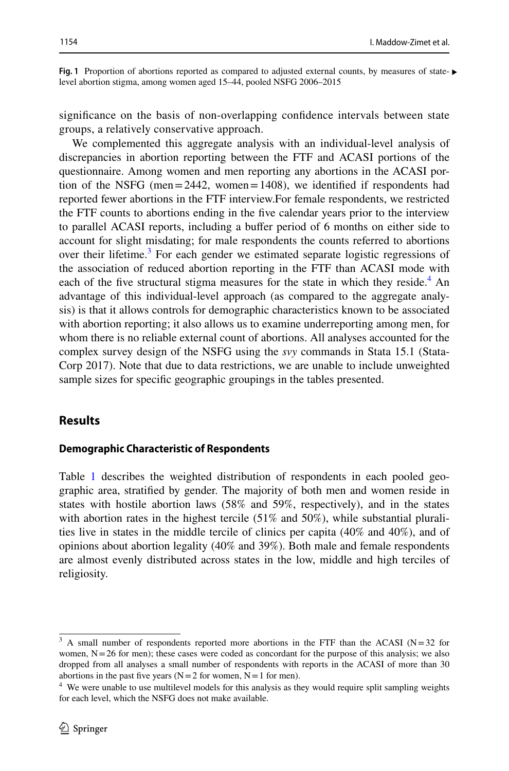<span id="page-5-2"></span>**Fig.** 1 Proportion of abortions reported as compared to adjusted external counts, by measures of state- ► level abortion stigma, among women aged 15–44, pooled NSFG 2006–2015

signifcance on the basis of non-overlapping confdence intervals between state groups, a relatively conservative approach.

We complemented this aggregate analysis with an individual-level analysis of discrepancies in abortion reporting between the FTF and ACASI portions of the questionnaire. Among women and men reporting any abortions in the ACASI portion of the NSFG (men=2442, women=1408), we identifed if respondents had reported fewer abortions in the FTF interview.For female respondents, we restricted the FTF counts to abortions ending in the fve calendar years prior to the interview to parallel ACASI reports, including a bufer period of 6 months on either side to account for slight misdating; for male respondents the counts referred to abortions over their lifetime.<sup>[3](#page-5-0)</sup> For each gender we estimated separate logistic regressions of the association of reduced abortion reporting in the FTF than ACASI mode with each of the five structural stigma measures for the state in which they reside. $4$  An advantage of this individual-level approach (as compared to the aggregate analysis) is that it allows controls for demographic characteristics known to be associated with abortion reporting; it also allows us to examine underreporting among men, for whom there is no reliable external count of abortions. All analyses accounted for the complex survey design of the NSFG using the *svy* commands in Stata 15.1 (Stata-Corp 2017). Note that due to data restrictions, we are unable to include unweighted sample sizes for specifc geographic groupings in the tables presented.

#### **Results**

#### **Demographic Characteristic of Respondents**

Table [1](#page-4-0) describes the weighted distribution of respondents in each pooled geographic area, stratifed by gender. The majority of both men and women reside in states with hostile abortion laws (58% and 59%, respectively), and in the states with abortion rates in the highest tercile (51% and 50%), while substantial pluralities live in states in the middle tercile of clinics per capita (40% and 40%), and of opinions about abortion legality (40% and 39%). Both male and female respondents are almost evenly distributed across states in the low, middle and high terciles of religiosity.

<span id="page-5-0"></span> $3$  A small number of respondents reported more abortions in the FTF than the ACASI (N=32 for women, N=26 for men); these cases were coded as concordant for the purpose of this analysis; we also dropped from all analyses a small number of respondents with reports in the ACASI of more than 30 abortions in the past five years  $(N=2$  for women,  $N=1$  for men).

<span id="page-5-1"></span><sup>&</sup>lt;sup>4</sup> We were unable to use multilevel models for this analysis as they would require split sampling weights for each level, which the NSFG does not make available.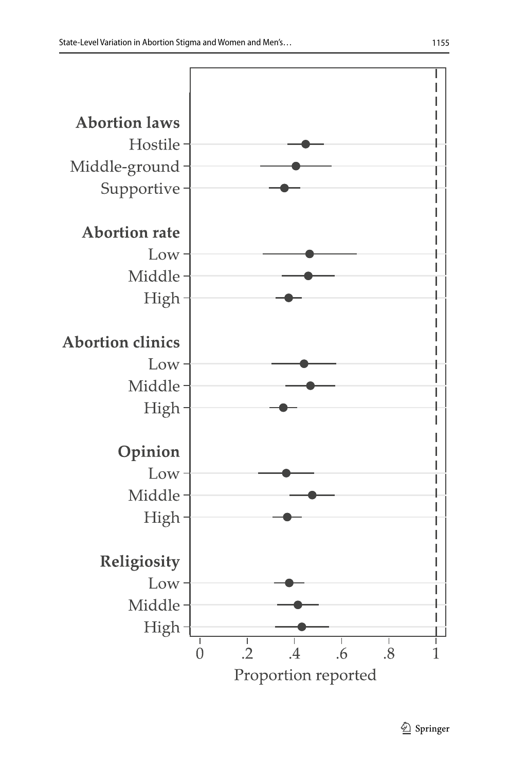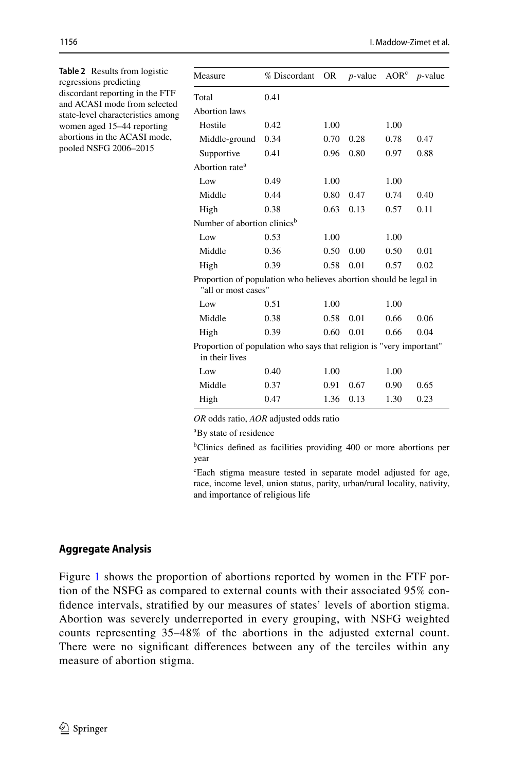<span id="page-7-0"></span>

| <b>Table 2</b> Results from logistic<br>regressions predicting<br>discordant reporting in the FTF<br>and ACASI mode from selected<br>state-level characteristics among<br>women aged 15-44 reporting<br>abortions in the ACASI mode,<br>pooled NSFG 2006-2015 | Measure                                                                                  | % Discordant | <b>OR</b> | $p$ -value | AOR <sup>c</sup> | $p$ -value |  |
|---------------------------------------------------------------------------------------------------------------------------------------------------------------------------------------------------------------------------------------------------------------|------------------------------------------------------------------------------------------|--------------|-----------|------------|------------------|------------|--|
|                                                                                                                                                                                                                                                               | Total                                                                                    | 0.41         |           |            |                  |            |  |
|                                                                                                                                                                                                                                                               | <b>Abortion</b> laws                                                                     |              |           |            |                  |            |  |
|                                                                                                                                                                                                                                                               | Hostile                                                                                  | 0.42         | 1.00      |            | 1.00             |            |  |
|                                                                                                                                                                                                                                                               | Middle-ground                                                                            | 0.34         | 0.70      | 0.28       | 0.78             | 0.47       |  |
|                                                                                                                                                                                                                                                               | Supportive                                                                               | 0.41         | 0.96      | 0.80       | 0.97             | 0.88       |  |
|                                                                                                                                                                                                                                                               | Abortion rate <sup>a</sup>                                                               |              |           |            |                  |            |  |
|                                                                                                                                                                                                                                                               | Low                                                                                      | 0.49         | 1.00      |            | 1.00             |            |  |
|                                                                                                                                                                                                                                                               | Middle                                                                                   | 0.44         | 0.80      | 0.47       | 0.74             | 0.40       |  |
|                                                                                                                                                                                                                                                               | High                                                                                     | 0.38         | 0.63      | 0.13       | 0.57             | 0.11       |  |
|                                                                                                                                                                                                                                                               | Number of abortion clinics <sup>b</sup>                                                  |              |           |            |                  |            |  |
|                                                                                                                                                                                                                                                               | Low                                                                                      | 0.53         | 1.00      |            | 1.00             |            |  |
|                                                                                                                                                                                                                                                               | Middle                                                                                   | 0.36         | 0.50      | 0.00       | 0.50             | 0.01       |  |
|                                                                                                                                                                                                                                                               | High                                                                                     | 0.39         | 0.58      | 0.01       | 0.57             | 0.02       |  |
|                                                                                                                                                                                                                                                               | Proportion of population who believes abortion should be legal in<br>"all or most cases" |              |           |            |                  |            |  |
|                                                                                                                                                                                                                                                               | Low                                                                                      | 0.51         | 1.00      |            | 1.00             |            |  |
|                                                                                                                                                                                                                                                               | Middle                                                                                   | 0.38         | 0.58      | 0.01       | 0.66             | 0.06       |  |
|                                                                                                                                                                                                                                                               | High                                                                                     | 0.39         | 0.60      | 0.01       | 0.66             | 0.04       |  |
|                                                                                                                                                                                                                                                               | Proportion of population who says that religion is "very important"<br>in their lives    |              |           |            |                  |            |  |
|                                                                                                                                                                                                                                                               | Low                                                                                      | 0.40         | 1.00      |            | 1.00             |            |  |
|                                                                                                                                                                                                                                                               | Middle                                                                                   | 0.37         | 0.91      | 0.67       | 0.90             | 0.65       |  |
|                                                                                                                                                                                                                                                               | High                                                                                     | 0.47         | 1.36      | 0.13       | 1.30             | 0.23       |  |

*OR* odds ratio, *AOR* adjusted odds ratio

a By state of residence

b Clinics defned as facilities providing 400 or more abortions per year

c Each stigma measure tested in separate model adjusted for age, race, income level, union status, parity, urban/rural locality, nativity, and importance of religious life

### **Aggregate Analysis**

Figure [1](#page-5-2) shows the proportion of abortions reported by women in the FTF portion of the NSFG as compared to external counts with their associated 95% confdence intervals, stratifed by our measures of states' levels of abortion stigma. Abortion was severely underreported in every grouping, with NSFG weighted counts representing 35–48% of the abortions in the adjusted external count. There were no signifcant diferences between any of the terciles within any measure of abortion stigma.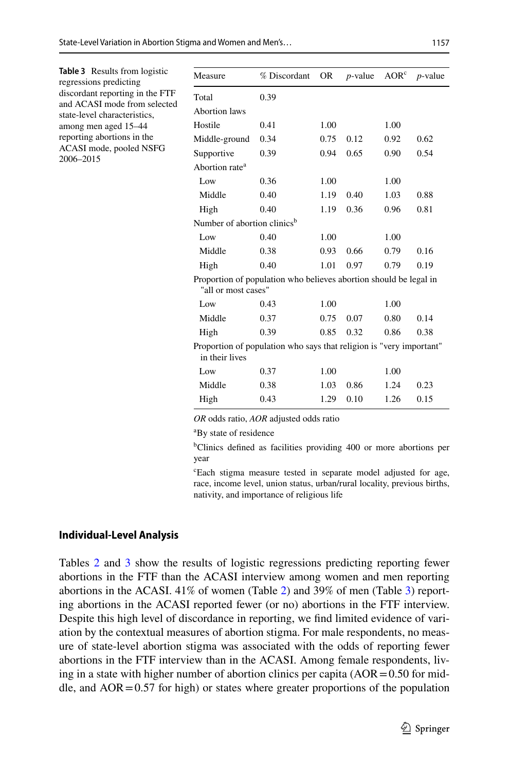<span id="page-8-0"></span>

| <b>Table 3</b> Results from logistic<br>regressions predicting<br>discordant reporting in the FTF<br>and ACASI mode from selected<br>state-level characteristics,<br>among men aged 15-44<br>reporting abortions in the<br>ACASI mode, pooled NSFG<br>2006-2015 | Measure                                                                                  | % Discordant | <b>OR</b>    | $p$ -value | AOR <sup>c</sup> | $p$ -value |  |
|-----------------------------------------------------------------------------------------------------------------------------------------------------------------------------------------------------------------------------------------------------------------|------------------------------------------------------------------------------------------|--------------|--------------|------------|------------------|------------|--|
|                                                                                                                                                                                                                                                                 | Total<br><b>Abortion</b> laws                                                            | 0.39         |              |            |                  |            |  |
|                                                                                                                                                                                                                                                                 | Hostile<br>Middle-ground                                                                 | 0.41<br>0.34 | 1.00<br>0.75 | 0.12       | 1.00<br>0.92     | 0.62       |  |
|                                                                                                                                                                                                                                                                 | Supportive<br>Abortion rate <sup>a</sup>                                                 | 0.39         | 0.94         | 0.65       | 0.90             | 0.54       |  |
|                                                                                                                                                                                                                                                                 | Low                                                                                      | 0.36         | 1.00         |            | 1.00             |            |  |
|                                                                                                                                                                                                                                                                 | Middle                                                                                   | 0.40         | 1.19         | 0.40       | 1.03             | 0.88       |  |
|                                                                                                                                                                                                                                                                 | High                                                                                     | 0.40         | 1.19         | 0.36       | 0.96             | 0.81       |  |
|                                                                                                                                                                                                                                                                 | Number of abortion clinics <sup>b</sup>                                                  |              |              |            |                  |            |  |
|                                                                                                                                                                                                                                                                 | Low                                                                                      | 0.40         | 1.00         |            | 1.00             |            |  |
|                                                                                                                                                                                                                                                                 | Middle                                                                                   | 0.38         | 0.93         | 0.66       | 0.79             | 0.16       |  |
|                                                                                                                                                                                                                                                                 | High                                                                                     | 0.40         | 1.01         | 0.97       | 0.79             | 0.19       |  |
|                                                                                                                                                                                                                                                                 | Proportion of population who believes abortion should be legal in<br>"all or most cases" |              |              |            |                  |            |  |
|                                                                                                                                                                                                                                                                 | Low                                                                                      | 0.43         | 1.00         |            | 1.00             |            |  |
|                                                                                                                                                                                                                                                                 | Middle                                                                                   | 0.37         | 0.75         | 0.07       | 0.80             | 0.14       |  |
|                                                                                                                                                                                                                                                                 | High                                                                                     | 0.39         | 0.85         | 0.32       | 0.86             | 0.38       |  |
|                                                                                                                                                                                                                                                                 | Proportion of population who says that religion is "very important"<br>in their lives    |              |              |            |                  |            |  |
|                                                                                                                                                                                                                                                                 | Low                                                                                      | 0.37         | 1.00         |            | 1.00             |            |  |
|                                                                                                                                                                                                                                                                 | Middle                                                                                   | 0.38         | 1.03         | 0.86       | 1.24             | 0.23       |  |
|                                                                                                                                                                                                                                                                 | High                                                                                     | 0.43         | 1.29         | 0.10       | 1.26             | 0.15       |  |
|                                                                                                                                                                                                                                                                 |                                                                                          |              |              |            |                  |            |  |

*OR* odds ratio, *AOR* adjusted odds ratio

a By state of residence

b Clinics defned as facilities providing 400 or more abortions per year

c Each stigma measure tested in separate model adjusted for age, race, income level, union status, urban/rural locality, previous births, nativity, and importance of religious life

#### **Individual‑Level Analysis**

Tables [2](#page-7-0) and [3](#page-8-0) show the results of logistic regressions predicting reporting fewer abortions in the FTF than the ACASI interview among women and men reporting abortions in the ACASI. 41% of women (Table [2\)](#page-7-0) and 39% of men (Table [3\)](#page-8-0) reporting abortions in the ACASI reported fewer (or no) abortions in the FTF interview. Despite this high level of discordance in reporting, we fnd limited evidence of variation by the contextual measures of abortion stigma. For male respondents, no measure of state-level abortion stigma was associated with the odds of reporting fewer abortions in the FTF interview than in the ACASI. Among female respondents, living in a state with higher number of abortion clinics per capita  $(AOR = 0.50$  for middle, and  $AOR = 0.57$  for high) or states where greater proportions of the population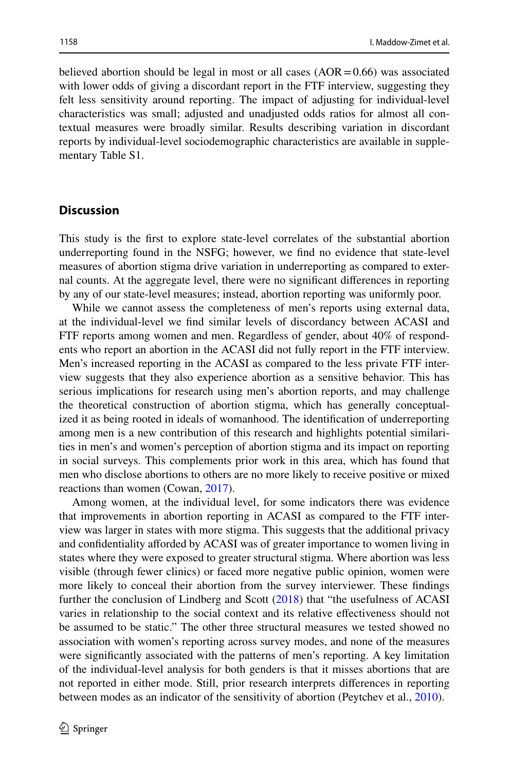believed abortion should be legal in most or all cases  $(AOR = 0.66)$  was associated with lower odds of giving a discordant report in the FTF interview, suggesting they felt less sensitivity around reporting. The impact of adjusting for individual-level characteristics was small; adjusted and unadjusted odds ratios for almost all contextual measures were broadly similar. Results describing variation in discordant reports by individual-level sociodemographic characteristics are available in supplementary Table S1.

### **Discussion**

This study is the frst to explore state-level correlates of the substantial abortion underreporting found in the NSFG; however, we fnd no evidence that state-level measures of abortion stigma drive variation in underreporting as compared to external counts. At the aggregate level, there were no signifcant diferences in reporting by any of our state-level measures; instead, abortion reporting was uniformly poor.

While we cannot assess the completeness of men's reports using external data, at the individual-level we fnd similar levels of discordancy between ACASI and FTF reports among women and men. Regardless of gender, about 40% of respondents who report an abortion in the ACASI did not fully report in the FTF interview. Men's increased reporting in the ACASI as compared to the less private FTF interview suggests that they also experience abortion as a sensitive behavior. This has serious implications for research using men's abortion reports, and may challenge the theoretical construction of abortion stigma, which has generally conceptualized it as being rooted in ideals of womanhood. The identifcation of underreporting among men is a new contribution of this research and highlights potential similarities in men's and women's perception of abortion stigma and its impact on reporting in social surveys. This complements prior work in this area, which has found that men who disclose abortions to others are no more likely to receive positive or mixed reactions than women (Cowan, [2017](#page-11-11)).

Among women, at the individual level, for some indicators there was evidence that improvements in abortion reporting in ACASI as compared to the FTF interview was larger in states with more stigma. This suggests that the additional privacy and confdentiality aforded by ACASI was of greater importance to women living in states where they were exposed to greater structural stigma. Where abortion was less visible (through fewer clinics) or faced more negative public opinion, women were more likely to conceal their abortion from the survey interviewer. These fndings further the conclusion of Lindberg and Scott [\(2018](#page-12-6)) that "the usefulness of ACASI varies in relationship to the social context and its relative efectiveness should not be assumed to be static." The other three structural measures we tested showed no association with women's reporting across survey modes, and none of the measures were signifcantly associated with the patterns of men's reporting. A key limitation of the individual-level analysis for both genders is that it misses abortions that are not reported in either mode. Still, prior research interprets diferences in reporting between modes as an indicator of the sensitivity of abortion (Peytchev et al., [2010](#page-12-7)).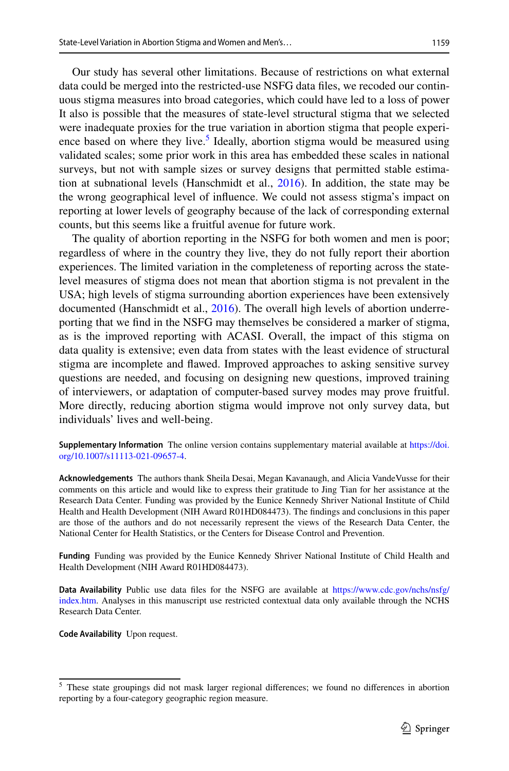Our study has several other limitations. Because of restrictions on what external data could be merged into the restricted-use NSFG data fles, we recoded our continuous stigma measures into broad categories, which could have led to a loss of power It also is possible that the measures of state-level structural stigma that we selected were inadequate proxies for the true variation in abortion stigma that people experi-ence based on where they live.<sup>[5](#page-10-0)</sup> Ideally, abortion stigma would be measured using validated scales; some prior work in this area has embedded these scales in national surveys, but not with sample sizes or survey designs that permitted stable estimation at subnational levels (Hanschmidt et al., [2016\)](#page-11-2). In addition, the state may be the wrong geographical level of infuence. We could not assess stigma's impact on reporting at lower levels of geography because of the lack of corresponding external counts, but this seems like a fruitful avenue for future work.

The quality of abortion reporting in the NSFG for both women and men is poor; regardless of where in the country they live, they do not fully report their abortion experiences. The limited variation in the completeness of reporting across the statelevel measures of stigma does not mean that abortion stigma is not prevalent in the USA; high levels of stigma surrounding abortion experiences have been extensively documented (Hanschmidt et al., [2016](#page-11-2)). The overall high levels of abortion underreporting that we fnd in the NSFG may themselves be considered a marker of stigma, as is the improved reporting with ACASI. Overall, the impact of this stigma on data quality is extensive; even data from states with the least evidence of structural stigma are incomplete and fawed. Improved approaches to asking sensitive survey questions are needed, and focusing on designing new questions, improved training of interviewers, or adaptation of computer-based survey modes may prove fruitful. More directly, reducing abortion stigma would improve not only survey data, but individuals' lives and well-being.

**Supplementary Information** The online version contains supplementary material available at [https://doi.](https://doi.org/10.1007/s11113-021-09657-4) [org/10.1007/s11113-021-09657-4](https://doi.org/10.1007/s11113-021-09657-4).

**Acknowledgements** The authors thank Sheila Desai, Megan Kavanaugh, and Alicia VandeVusse for their comments on this article and would like to express their gratitude to Jing Tian for her assistance at the Research Data Center. Funding was provided by the Eunice Kennedy Shriver National Institute of Child Health and Health Development (NIH Award R01HD084473). The fndings and conclusions in this paper are those of the authors and do not necessarily represent the views of the Research Data Center, the National Center for Health Statistics, or the Centers for Disease Control and Prevention.

**Funding** Funding was provided by the Eunice Kennedy Shriver National Institute of Child Health and Health Development (NIH Award R01HD084473).

**Data Availability** Public use data fles for the NSFG are available at [https://www.cdc.gov/nchs/nsfg/](https://www.cdc.gov/nchs/nsfg/index.htm) [index.htm](https://www.cdc.gov/nchs/nsfg/index.htm). Analyses in this manuscript use restricted contextual data only available through the NCHS Research Data Center.

**Code Availability** Upon request.

<span id="page-10-0"></span><sup>&</sup>lt;sup>5</sup> These state groupings did not mask larger regional differences; we found no differences in abortion reporting by a four-category geographic region measure.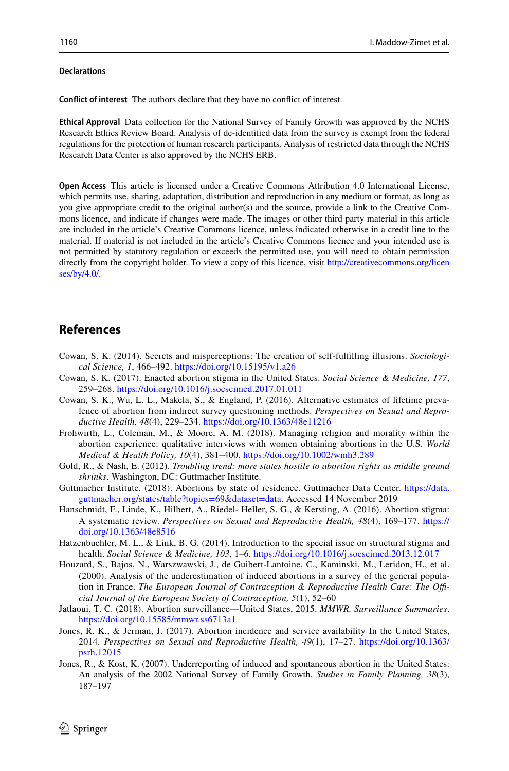#### **Declarations**

**Confict of interest** The authors declare that they have no confict of interest.

**Ethical Approval** Data collection for the National Survey of Family Growth was approved by the NCHS Research Ethics Review Board. Analysis of de-identifed data from the survey is exempt from the federal regulations for the protection of human research participants. Analysis of restricted data through the NCHS Research Data Center is also approved by the NCHS ERB.

**Open Access** This article is licensed under a Creative Commons Attribution 4.0 International License, which permits use, sharing, adaptation, distribution and reproduction in any medium or format, as long as you give appropriate credit to the original author(s) and the source, provide a link to the Creative Commons licence, and indicate if changes were made. The images or other third party material in this article are included in the article's Creative Commons licence, unless indicated otherwise in a credit line to the material. If material is not included in the article's Creative Commons licence and your intended use is not permitted by statutory regulation or exceeds the permitted use, you will need to obtain permission directly from the copyright holder. To view a copy of this licence, visit [http://creativecommons.org/licen](http://creativecommons.org/licenses/by/4.0/) [ses/by/4.0/](http://creativecommons.org/licenses/by/4.0/).

# **References**

- <span id="page-11-5"></span>Cowan, S. K. (2014). Secrets and misperceptions: The creation of self-fulflling illusions. *Sociological Science, 1*, 466–492. <https://doi.org/10.15195/v1.a26>
- <span id="page-11-11"></span>Cowan, S. K. (2017). Enacted abortion stigma in the United States. *Social Science & Medicine, 177*, 259–268. <https://doi.org/10.1016/j.socscimed.2017.01.011>
- <span id="page-11-4"></span>Cowan, S. K., Wu, L. L., Makela, S., & England, P. (2016). Alternative estimates of lifetime prevalence of abortion from indirect survey questioning methods. *Perspectives on Sexual and Reproductive Health, 48*(4), 229–234. <https://doi.org/10.1363/48e11216>
- <span id="page-11-8"></span>Frohwirth, L., Coleman, M., & Moore, A. M. (2018). Managing religion and morality within the abortion experience: qualitative interviews with women obtaining abortions in the U.S. *World Medical & Health Policy, 10*(4), 381–400. <https://doi.org/10.1002/wmh3.289>
- <span id="page-11-6"></span>Gold, R., & Nash, E. (2012). *Troubling trend: more states hostile to abortion rights as middle ground shrinks*. Washington, DC: Guttmacher Institute.
- <span id="page-11-9"></span>Guttmacher Institute. (2018). Abortions by state of residence. Guttmacher Data Center. [https://data.](https://data.guttmacher.org/states/table?topics=69&dataset=data) [guttmacher.org/states/table?topics=69&dataset=data.](https://data.guttmacher.org/states/table?topics=69&dataset=data) Accessed 14 November 2019
- <span id="page-11-2"></span>Hanschmidt, F., Linde, K., Hilbert, A., Riedel- Heller, S. G., & Kersting, A. (2016). Abortion stigma: A systematic review. *Perspectives on Sexual and Reproductive Health, 48*(4), 169–177. [https://](https://doi.org/10.1363/48e8516) [doi.org/10.1363/48e8516](https://doi.org/10.1363/48e8516)
- <span id="page-11-3"></span>Hatzenbuehler, M. L., & Link, B. G. (2014). Introduction to the special issue on structural stigma and health. *Social Science & Medicine, 103*, 1–6.<https://doi.org/10.1016/j.socscimed.2013.12.017>
- <span id="page-11-0"></span>Houzard, S., Bajos, N., Warszwawski, J., de Guibert-Lantoine, C., Kaminski, M., Leridon, H., et al. (2000). Analysis of the underestimation of induced abortions in a survey of the general population in France. The European Journal of Contraception & Reproductive Health Care: The Offi*cial Journal of the European Society of Contraception, 5*(1), 52–60
- <span id="page-11-10"></span>Jatlaoui, T. C. (2018). Abortion surveillance—United States, 2015. *MMWR. Surveillance Summaries*. <https://doi.org/10.15585/mmwr.ss6713a1>
- <span id="page-11-7"></span>Jones, R. K., & Jerman, J. (2017). Abortion incidence and service availability In the United States, 2014. *Perspectives on Sexual and Reproductive Health, 49*(1), 17–27. [https://doi.org/10.1363/](https://doi.org/10.1363/psrh.12015) [psrh.12015](https://doi.org/10.1363/psrh.12015)
- <span id="page-11-1"></span>Jones, R., & Kost, K. (2007). Underreporting of induced and spontaneous abortion in the United States: An analysis of the 2002 National Survey of Family Growth. *Studies in Family Planning, 38*(3), 187–197